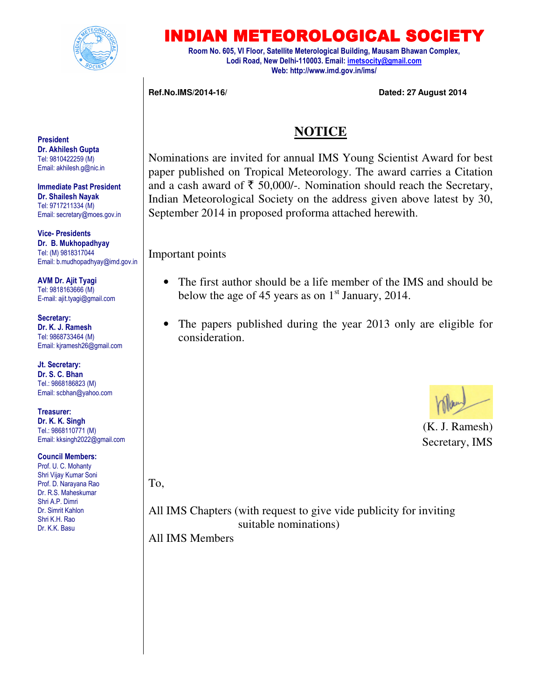

## INDIAN METEOROLOGICAL SOCIETY

Room No. 605, VI Floor, Satellite Meterological Building, Mausam Bhawan Complex, Lodi Road, New Delhi-110003. Email: imetsocity@gmail.com Web: http://www.imd.gov.in/ims/

Ref.No.IMS/2014-16/

**Ref.No.IMS/2014-16/ Dated: 27 August 2014** 

## **NOTICE**

Nominations are invited for annual IMS Young Scientist Award for best paper published on Tropical Meteorology. The award carries a Citation and a cash award of  $\bar{\tau}$  50,000/-. Nomination should reach the Secretary, Indian Meteorological Society on the address given above latest by 30, September 2014 in proposed proforma attached herewith.

Important points

- The first author should be a life member of the IMS and should be below the age of 45 years as on  $1<sup>st</sup>$  January, 2014.
- The papers published during the year 2013 only are eligible for consideration.



(K. J. Ramesh) Secretary, IMS

To,

All IMS Chapters (with request to give vide publicity for inviting suitable nominations)

All IMS Members

President Dr. Akhilesh Gupta Tel: 9810422259 (M) Email: akhilesh.g@nic.in

Immediate Past President Dr. Shailesh Nayak Tel: 9717211334 (M) Email: secretary@moes.gov.in

Vice- Presidents Dr. B. Mukhopadhyay Tel: (M) 9818317044 Email: b.mudhopadhyay@imd.gov.in

AVM Dr. Ajit Tyagi Tel: 9818163666 (M) E-mail: ajit.tyagi@gmail.com

Secretary: Dr. K. J. Ramesh Tel: 9868733464 (M) Email: kjramesh26@gmail.com

Jt. Secretary: Dr. S. C. Bhan Tel.: 9868186823 (M) Email: scbhan@yahoo.com

Treasurer: Dr. K. K. Singh Tel.: 9868110771 (M) Email: kksingh2022@gmail.com

Council Members:

Prof. U. C. Mohanty Shri Vijay Kumar Soni Prof. D. Narayana Rao Dr. R.S. Maheskumar Shri A.P. Dimri Dr. Simrit Kahlon Shri K.H. Rao Dr. K.K. Basu